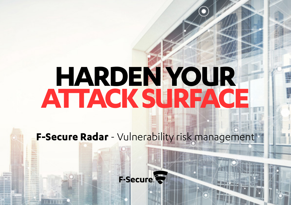# HARDEN YOUR ATTACK SURFACE

**F-Secure Radar** - Vulnerability risk management

F-Secure.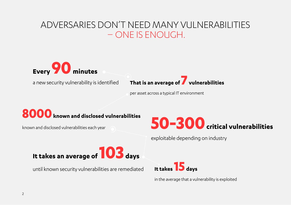## ADVERSARIES DON'T NEED MANY VULNERABILITIES – ONE IS ENOUGH.



a new security vulnerability is identified



per asset across a typical IT environment

known and disclosed vulnerabilities each year



exploitable depending on industry



until known security vulnerabilities are remediated **It takes 15 days**



in the average that a vulnerability is exploited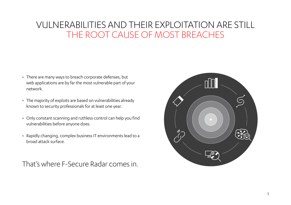## VULNERABILITIES AND THEIR EXPLOITATION ARE STILL THE ROOT CAUSE OF MOST BREACHES

- There are many ways to breach corporate defenses, but web applications are by far the most vulnerable part of your network.
- The majority of exploits are based on vulnerabilities already known to security professionals for at least one year.
- Only constant scanning and ruthless control can help you find vulnerabilities before anyone does.
- Rapidly changing, complex business IT environments lead to a broad attack surface.

That's where F-Secure Radar comes in.

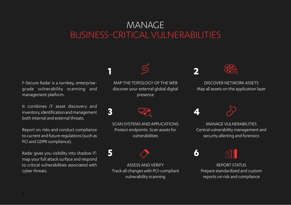## **MANAGE** BUSINESS-CRITICAL VULNERABILITIES

F-Secure Radar is a turnkey, enterprisegrade vulnerability scanning and management platform.

It combines IT asset discovery and inventory, identification and management both internal and external threats.

Report on risks and conduct compliance to current and future regulations (such as PCI and GDPR compliance).

Radar gives you visibility into shadow IT: map your full attack surface and respond to critical vulnerabilities associated with cyber threats.

MAP THE TOPOLOGY OF THE WEB discover your external global digital presence

SCAN SYSTEMS AND APPLICATIONS Protect endpoints. Scan assets for vulnerabilities

**1**

**3**

**5**

ASSESS AND VERIFY Track all changes with PCI-compliant vulnerability scanning



**2**

**4**

**6**

DISCOVER NETWORK ASSETS Map all assets on the application layer

MANAGE VILL NERABILITIES Central vulnerability management and security allerting and forensics

REPORT STATUS Prepare standardized and custom reports on risk and compliance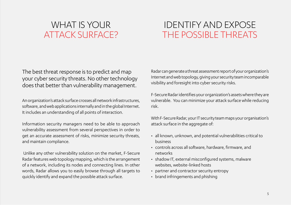## WHAT IS YOUR ATTACK SURFACE?

## IDENTIFY AND EXPOSE THE POSSIBLE THREATS

The best threat response is to predict and map your cyber security threats. No other technology does that better than vulnerability management.

An organization's attack surface crosses all network infrastructures, software, and web applications internally and in the global Internet. It includes an understanding of all points of interaction.

Information security managers need to be able to approach vulnerability assessment from several perspectives in order to get an accurate assessment of risks, minimize security threats, and maintain compliance.

 Unlike any other vulnerability solution on the market, F-Secure Radar features web topology mapping, which is the arrangement of a network, including its nodes and connecting lines. In other words, Radar allows you to easily browse through all targets to quickly identify and expand the possible attack surface.

Radar can generate a threat assessment report of your organization's Internet and web topology, giving your security team incomparable visibility and foresight into cyber security risks.

F-Secure Radar identifies your organization's assets where they are vulnerable. You can minimize your attack surface while reducing risk.

With F-Secure Radar, your IT security team maps your organisation's attack surface in the aggregate of:

- all known, unknown, and potential vulnerabilities critical to business
- controls across all software, hardware, firmware, and networks
- shadow IT, external misconfigured systems, malware websites, website-linked hosts
- partner and contractor security entropy
- brand infringements and phishing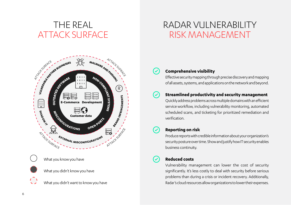## THE REAL ATTACK SURFACE

### RADAR VULNERABILITY RISK MANAGEMENT



#### **Comprehensive visibility**

 $\sim$ 

 $\overline{\mathcal{L}}$ 

Ō

(V

Effective security mapping through precise discovery and mapping of all assets, systems, and applications on the network and beyond.

#### **Streamlined productivity and security management**

Quickly address problems across multiple domains with an efficient service workflow, including vulnerability monitoring, automated scheduled scans, and ticketing for prioritized remediation and verification.

#### **Reporting on risk**

Produce reports with credible information about your organization's security posture over time. Show and justify how IT security enables business continuity.

#### **Reduced costs**

Vulnerability management can lower the cost of security significantly. It's less costly to deal with security before serious problems than during a crisis or incident recovery. Additionally, Radar's cloud resources allow organizations to lower their expenses.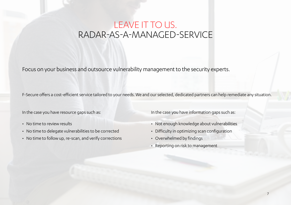### LEAVE IT TO US. RADAR-AS-A-MANAGED-SERVICE

Focus on your business and outsource vulnerability management to the security experts.

F-Secure offers a cost-efficient service tailored to your needs. We and our selected, dedicated partners can help remediate any situation.

In the case you have resource gaps such as:

- No time to review results
- No time to delegate vulnerabilities to be corrected
- No time to follow up, re-scan, and verify corrections

In the case you have information gaps such as:

- Not enough knowledge about vulnerabilities
- Difficulty in optimizing scan configuration
- Overwhelmed by findings
- Reporting on risk to management